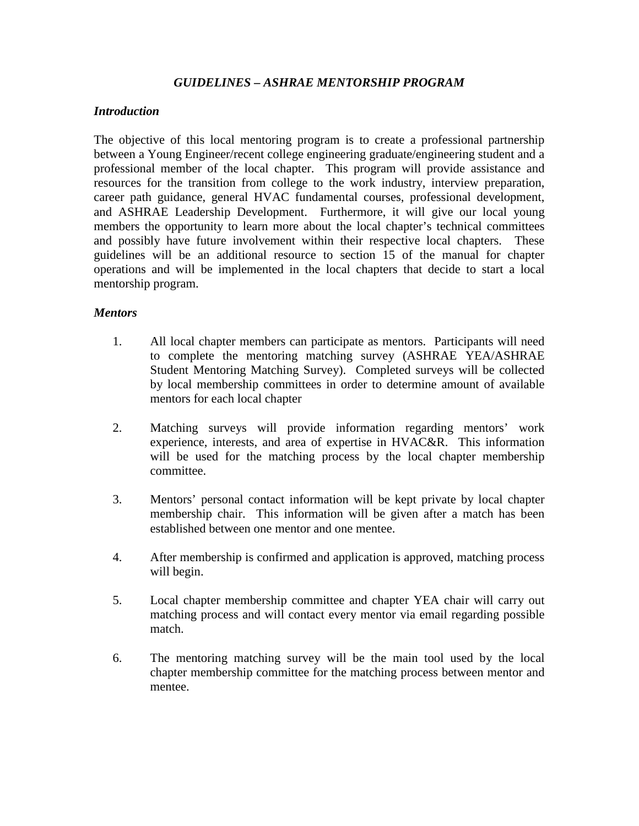## *GUIDELINES – ASHRAE MENTORSHIP PROGRAM*

### *Introduction*

The objective of this local mentoring program is to create a professional partnership between a Young Engineer/recent college engineering graduate/engineering student and a professional member of the local chapter. This program will provide assistance and resources for the transition from college to the work industry, interview preparation, career path guidance, general HVAC fundamental courses, professional development, and ASHRAE Leadership Development. Furthermore, it will give our local young members the opportunity to learn more about the local chapter's technical committees and possibly have future involvement within their respective local chapters. These guidelines will be an additional resource to section 15 of the manual for chapter operations and will be implemented in the local chapters that decide to start a local mentorship program.

#### *Mentors*

- 1. All local chapter members can participate as mentors. Participants will need to complete the mentoring matching survey (ASHRAE YEA/ASHRAE Student Mentoring Matching Survey). Completed surveys will be collected by local membership committees in order to determine amount of available mentors for each local chapter
- 2. Matching surveys will provide information regarding mentors' work experience, interests, and area of expertise in HVAC&R. This information will be used for the matching process by the local chapter membership committee.
- 3. Mentors' personal contact information will be kept private by local chapter membership chair. This information will be given after a match has been established between one mentor and one mentee.
- 4. After membership is confirmed and application is approved, matching process will begin.
- 5. Local chapter membership committee and chapter YEA chair will carry out matching process and will contact every mentor via email regarding possible match.
- 6. The mentoring matching survey will be the main tool used by the local chapter membership committee for the matching process between mentor and mentee.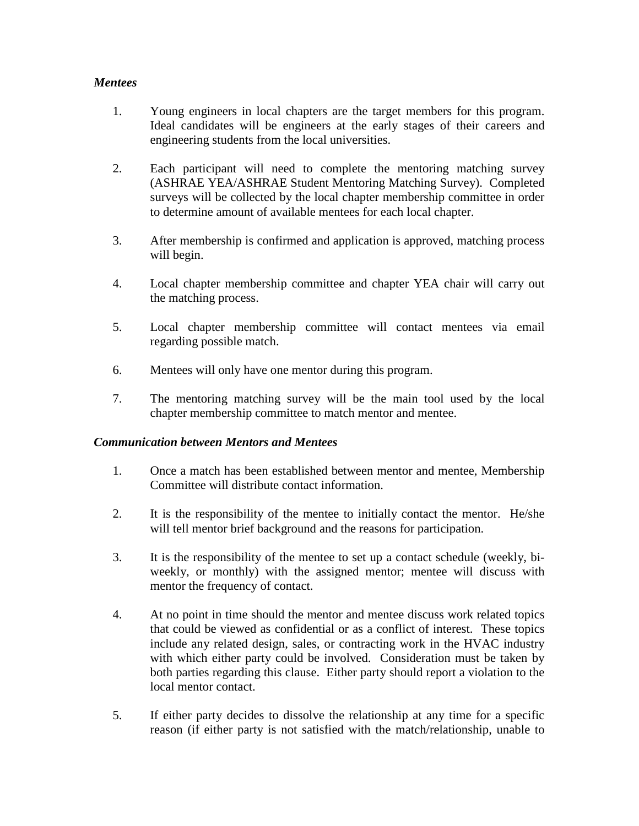## *Mentees*

- 1. Young engineers in local chapters are the target members for this program. Ideal candidates will be engineers at the early stages of their careers and engineering students from the local universities.
- 2. Each participant will need to complete the mentoring matching survey (ASHRAE YEA/ASHRAE Student Mentoring Matching Survey). Completed surveys will be collected by the local chapter membership committee in order to determine amount of available mentees for each local chapter.
- 3. After membership is confirmed and application is approved, matching process will begin.
- 4. Local chapter membership committee and chapter YEA chair will carry out the matching process.
- 5. Local chapter membership committee will contact mentees via email regarding possible match.
- 6. Mentees will only have one mentor during this program.
- 7. The mentoring matching survey will be the main tool used by the local chapter membership committee to match mentor and mentee.

# *Communication between Mentors and Mentees*

- 1. Once a match has been established between mentor and mentee, Membership Committee will distribute contact information.
- 2. It is the responsibility of the mentee to initially contact the mentor. He/she will tell mentor brief background and the reasons for participation.
- 3. It is the responsibility of the mentee to set up a contact schedule (weekly, biweekly, or monthly) with the assigned mentor; mentee will discuss with mentor the frequency of contact.
- 4. At no point in time should the mentor and mentee discuss work related topics that could be viewed as confidential or as a conflict of interest. These topics include any related design, sales, or contracting work in the HVAC industry with which either party could be involved. Consideration must be taken by both parties regarding this clause. Either party should report a violation to the local mentor contact.
- 5. If either party decides to dissolve the relationship at any time for a specific reason (if either party is not satisfied with the match/relationship, unable to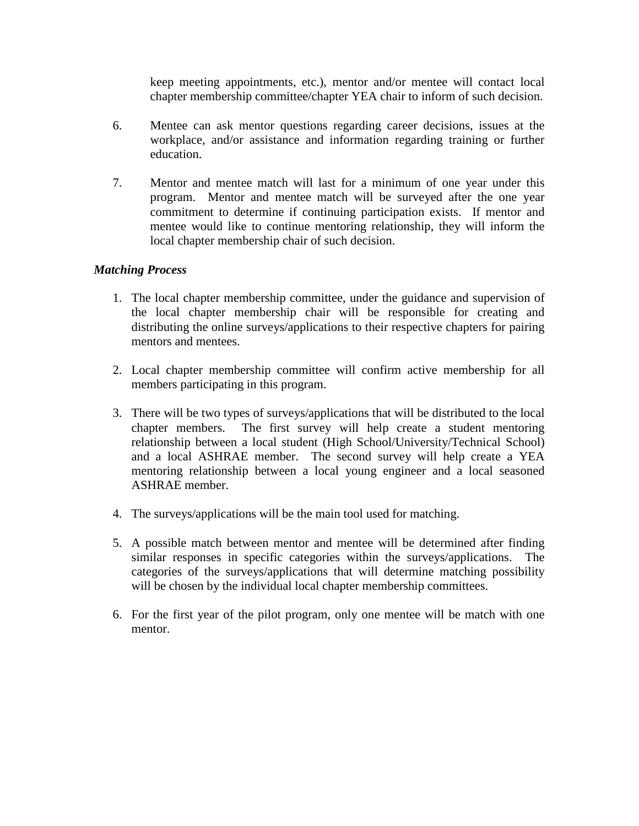keep meeting appointments, etc.), mentor and/or mentee will contact local chapter membership committee/chapter YEA chair to inform of such decision.

- 6. Mentee can ask mentor questions regarding career decisions, issues at the workplace, and/or assistance and information regarding training or further education.
- 7. Mentor and mentee match will last for a minimum of one year under this program. Mentor and mentee match will be surveyed after the one year commitment to determine if continuing participation exists. If mentor and mentee would like to continue mentoring relationship, they will inform the local chapter membership chair of such decision.

# *Matching Process*

- 1. The local chapter membership committee, under the guidance and supervision of the local chapter membership chair will be responsible for creating and distributing the online surveys/applications to their respective chapters for pairing mentors and mentees.
- 2. Local chapter membership committee will confirm active membership for all members participating in this program.
- 3. There will be two types of surveys/applications that will be distributed to the local chapter members. The first survey will help create a student mentoring relationship between a local student (High School/University/Technical School) and a local ASHRAE member. The second survey will help create a YEA mentoring relationship between a local young engineer and a local seasoned ASHRAE member.
- 4. The surveys/applications will be the main tool used for matching.
- 5. A possible match between mentor and mentee will be determined after finding similar responses in specific categories within the surveys/applications. The categories of the surveys/applications that will determine matching possibility will be chosen by the individual local chapter membership committees.
- 6. For the first year of the pilot program, only one mentee will be match with one mentor.